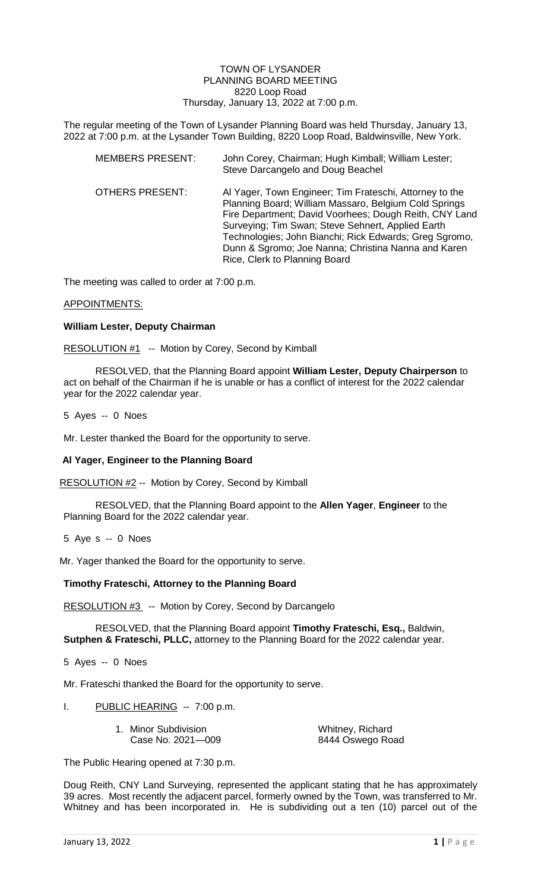#### TOWN OF LYSANDER PLANNING BOARD MEETING 8220 Loop Road Thursday, January 13, 2022 at 7:00 p.m.

The regular meeting of the Town of Lysander Planning Board was held Thursday, January 13, 2022 at 7:00 p.m. at the Lysander Town Building, 8220 Loop Road, Baldwinsville, New York.

| <b>MEMBERS PRESENT:</b> | John Corey, Chairman; Hugh Kimball; William Lester;<br>Steve Darcangelo and Doug Beachel                                                                                                                                                                                                                                                                                          |
|-------------------------|-----------------------------------------------------------------------------------------------------------------------------------------------------------------------------------------------------------------------------------------------------------------------------------------------------------------------------------------------------------------------------------|
| <b>OTHERS PRESENT:</b>  | Al Yager, Town Engineer; Tim Frateschi, Attorney to the<br>Planning Board; William Massaro, Belgium Cold Springs<br>Fire Department; David Voorhees; Dough Reith, CNY Land<br>Surveying; Tim Swan; Steve Sehnert, Applied Earth<br>Technologies; John Bianchi; Rick Edwards; Greg Sgromo,<br>Dunn & Sgromo; Joe Nanna; Christina Nanna and Karen<br>Rice, Clerk to Planning Board |

The meeting was called to order at 7:00 p.m.

### APPOINTMENTS:

# **William Lester, Deputy Chairman**

RESOLUTION #1 -- Motion by Corey, Second by Kimball

RESOLVED, that the Planning Board appoint **William Lester, Deputy Chairperson** to act on behalf of the Chairman if he is unable or has a conflict of interest for the 2022 calendar year for the 2022 calendar year.

### 5 Ayes -- 0 Noes

Mr. Lester thanked the Board for the opportunity to serve.

# **Al Yager, Engineer to the Planning Board**

RESOLUTION #2 -- Motion by Corey, Second by Kimball

RESOLVED, that the Planning Board appoint to the **Allen Yager**, **Engineer** to the Planning Board for the 2022 calendar year.

5 Aye s -- 0 Noes

Mr. Yager thanked the Board for the opportunity to serve.

# **Timothy Frateschi, Attorney to the Planning Board**

RESOLUTION #3 -- Motion by Corey, Second by Darcangelo

RESOLVED, that the Planning Board appoint **Timothy Frateschi, Esq.,** Baldwin, **Sutphen & Frateschi, PLLC,** attorney to the Planning Board for the 2022 calendar year.

5 Ayes -- 0 Noes

Mr. Frateschi thanked the Board for the opportunity to serve.

I. PUBLIC HEARING -- 7:00 p.m.

| 1. Minor Subdivision | Whitney, Richard |
|----------------------|------------------|
| Case No. 2021-009    | 8444 Oswego Road |

The Public Hearing opened at 7:30 p.m.

Doug Reith, CNY Land Surveying, represented the applicant stating that he has approximately 39 acres. Most recently the adjacent parcel, formerly owned by the Town, was transferred to Mr. Whitney and has been incorporated in. He is subdividing out a ten (10) parcel out of the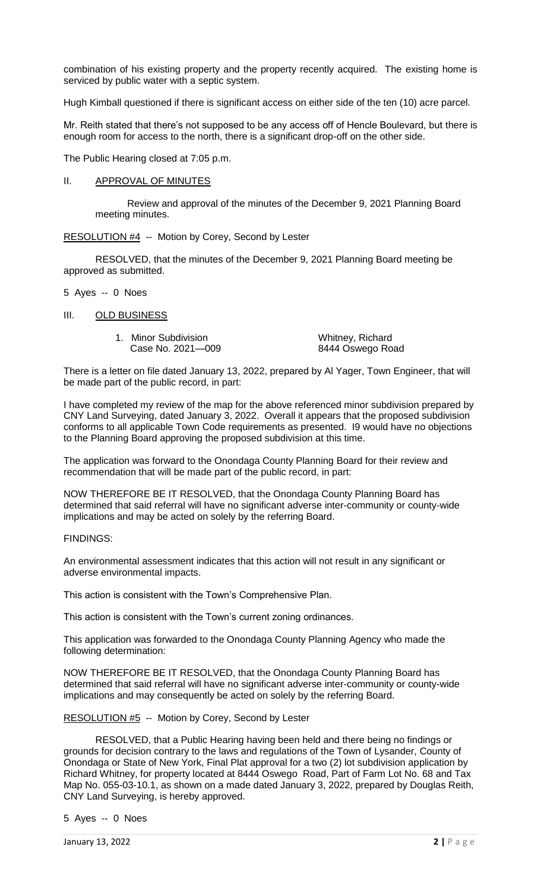combination of his existing property and the property recently acquired. The existing home is serviced by public water with a septic system.

Hugh Kimball questioned if there is significant access on either side of the ten (10) acre parcel.

Mr. Reith stated that there's not supposed to be any access off of Hencle Boulevard, but there is enough room for access to the north, there is a significant drop-off on the other side.

The Public Hearing closed at 7:05 p.m.

# II. APPROVAL OF MINUTES

Review and approval of the minutes of the December 9, 2021 Planning Board meeting minutes.

RESOLUTION #4 -- Motion by Corey, Second by Lester

RESOLVED, that the minutes of the December 9, 2021 Planning Board meeting be approved as submitted.

- 5 Ayes -- 0 Noes
- III. OLD BUSINESS
	- 1. Minor Subdivision **Michard Case No. 2021**—009 **Michard Base No. 2021**<br>8444 Oswego Ro

8444 Oswego Road

There is a letter on file dated January 13, 2022, prepared by Al Yager, Town Engineer, that will be made part of the public record, in part:

I have completed my review of the map for the above referenced minor subdivision prepared by CNY Land Surveying, dated January 3, 2022. Overall it appears that the proposed subdivision conforms to all applicable Town Code requirements as presented. I9 would have no objections to the Planning Board approving the proposed subdivision at this time.

The application was forward to the Onondaga County Planning Board for their review and recommendation that will be made part of the public record, in part:

NOW THEREFORE BE IT RESOLVED, that the Onondaga County Planning Board has determined that said referral will have no significant adverse inter-community or county-wide implications and may be acted on solely by the referring Board.

FINDINGS:

An environmental assessment indicates that this action will not result in any significant or adverse environmental impacts.

This action is consistent with the Town's Comprehensive Plan.

This action is consistent with the Town's current zoning ordinances.

This application was forwarded to the Onondaga County Planning Agency who made the following determination:

NOW THEREFORE BE IT RESOLVED, that the Onondaga County Planning Board has determined that said referral will have no significant adverse inter-community or county-wide implications and may consequently be acted on solely by the referring Board.

RESOLUTION #5 -- Motion by Corey, Second by Lester

RESOLVED, that a Public Hearing having been held and there being no findings or grounds for decision contrary to the laws and regulations of the Town of Lysander, County of Onondaga or State of New York, Final Plat approval for a two (2) lot subdivision application by Richard Whitney, for property located at 8444 Oswego Road, Part of Farm Lot No. 68 and Tax Map No. 055-03-10.1, as shown on a made dated January 3, 2022, prepared by Douglas Reith, CNY Land Surveying, is hereby approved.

5 Ayes -- 0 Noes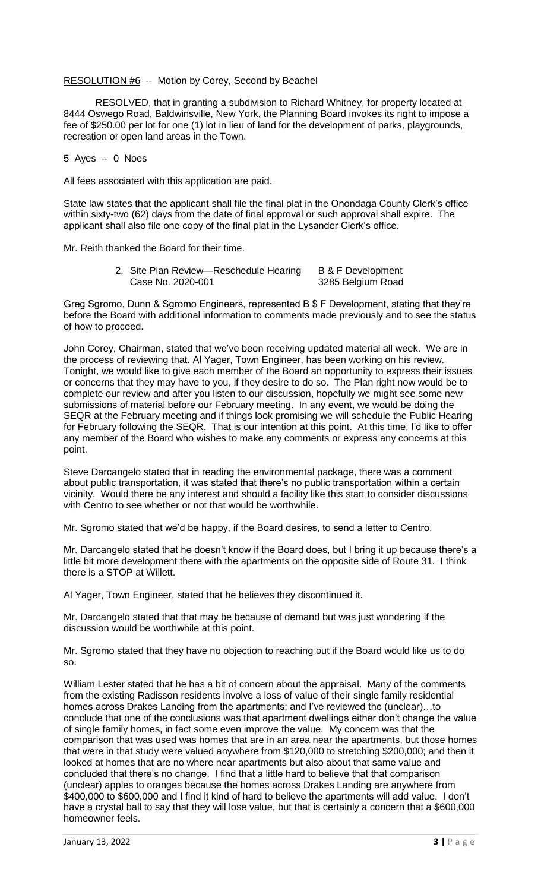# RESOLUTION #6 -- Motion by Corey, Second by Beachel

RESOLVED, that in granting a subdivision to Richard Whitney, for property located at 8444 Oswego Road, Baldwinsville, New York, the Planning Board invokes its right to impose a fee of \$250.00 per lot for one (1) lot in lieu of land for the development of parks, playgrounds, recreation or open land areas in the Town.

#### 5 Ayes -- 0 Noes

All fees associated with this application are paid.

State law states that the applicant shall file the final plat in the Onondaga County Clerk's office within sixty-two (62) days from the date of final approval or such approval shall expire. The applicant shall also file one copy of the final plat in the Lysander Clerk's office.

Mr. Reith thanked the Board for their time.

2. Site Plan Review—Reschedule Hearing B & F Development Case No. 2020-001 3285 Belgium Road

Greg Sgromo, Dunn & Sgromo Engineers, represented B \$ F Development, stating that they're before the Board with additional information to comments made previously and to see the status of how to proceed.

John Corey, Chairman, stated that we've been receiving updated material all week. We are in the process of reviewing that. Al Yager, Town Engineer, has been working on his review. Tonight, we would like to give each member of the Board an opportunity to express their issues or concerns that they may have to you, if they desire to do so. The Plan right now would be to complete our review and after you listen to our discussion, hopefully we might see some new submissions of material before our February meeting. In any event, we would be doing the SEQR at the February meeting and if things look promising we will schedule the Public Hearing for February following the SEQR. That is our intention at this point. At this time, I'd like to offer any member of the Board who wishes to make any comments or express any concerns at this point.

Steve Darcangelo stated that in reading the environmental package, there was a comment about public transportation, it was stated that there's no public transportation within a certain vicinity. Would there be any interest and should a facility like this start to consider discussions with Centro to see whether or not that would be worthwhile.

Mr. Sgromo stated that we'd be happy, if the Board desires, to send a letter to Centro.

Mr. Darcangelo stated that he doesn't know if the Board does, but I bring it up because there's a little bit more development there with the apartments on the opposite side of Route 31. I think there is a STOP at Willett.

Al Yager, Town Engineer, stated that he believes they discontinued it.

Mr. Darcangelo stated that that may be because of demand but was just wondering if the discussion would be worthwhile at this point.

Mr. Sgromo stated that they have no objection to reaching out if the Board would like us to do so.

William Lester stated that he has a bit of concern about the appraisal. Many of the comments from the existing Radisson residents involve a loss of value of their single family residential homes across Drakes Landing from the apartments; and I've reviewed the (unclear)…to conclude that one of the conclusions was that apartment dwellings either don't change the value of single family homes, in fact some even improve the value. My concern was that the comparison that was used was homes that are in an area near the apartments, but those homes that were in that study were valued anywhere from \$120,000 to stretching \$200,000; and then it looked at homes that are no where near apartments but also about that same value and concluded that there's no change. I find that a little hard to believe that that comparison (unclear) apples to oranges because the homes across Drakes Landing are anywhere from \$400,000 to \$600,000 and I find it kind of hard to believe the apartments will add value. I don't have a crystal ball to say that they will lose value, but that is certainly a concern that a \$600,000 homeowner feels.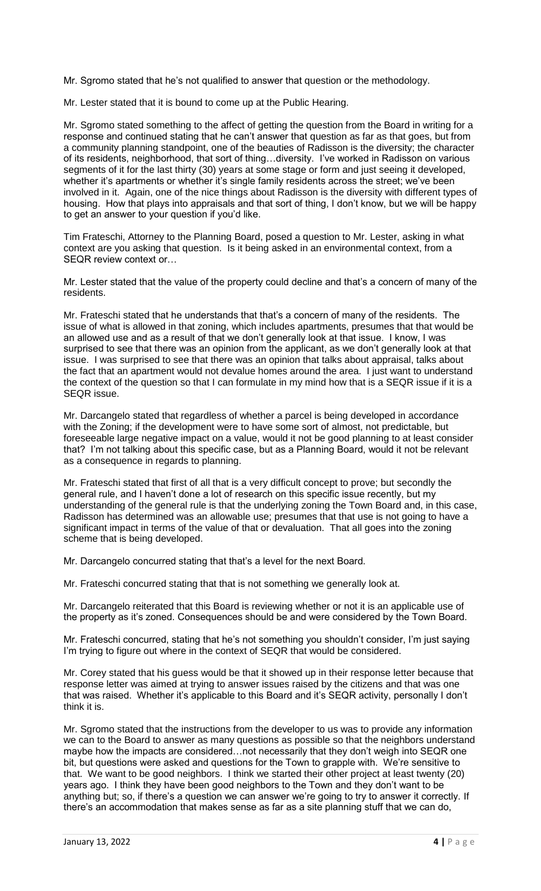Mr. Sgromo stated that he's not qualified to answer that question or the methodology.

Mr. Lester stated that it is bound to come up at the Public Hearing.

Mr. Sgromo stated something to the affect of getting the question from the Board in writing for a response and continued stating that he can't answer that question as far as that goes, but from a community planning standpoint, one of the beauties of Radisson is the diversity; the character of its residents, neighborhood, that sort of thing…diversity. I've worked in Radisson on various segments of it for the last thirty (30) years at some stage or form and just seeing it developed, whether it's apartments or whether it's single family residents across the street; we've been involved in it. Again, one of the nice things about Radisson is the diversity with different types of housing. How that plays into appraisals and that sort of thing, I don't know, but we will be happy to get an answer to your question if you'd like.

Tim Frateschi, Attorney to the Planning Board, posed a question to Mr. Lester, asking in what context are you asking that question. Is it being asked in an environmental context, from a SEQR review context or…

Mr. Lester stated that the value of the property could decline and that's a concern of many of the residents.

Mr. Frateschi stated that he understands that that's a concern of many of the residents. The issue of what is allowed in that zoning, which includes apartments, presumes that that would be an allowed use and as a result of that we don't generally look at that issue. I know, I was surprised to see that there was an opinion from the applicant, as we don't generally look at that issue. I was surprised to see that there was an opinion that talks about appraisal, talks about the fact that an apartment would not devalue homes around the area. I just want to understand the context of the question so that I can formulate in my mind how that is a SEQR issue if it is a SEQR issue.

Mr. Darcangelo stated that regardless of whether a parcel is being developed in accordance with the Zoning; if the development were to have some sort of almost, not predictable, but foreseeable large negative impact on a value, would it not be good planning to at least consider that? I'm not talking about this specific case, but as a Planning Board, would it not be relevant as a consequence in regards to planning.

Mr. Frateschi stated that first of all that is a very difficult concept to prove; but secondly the general rule, and I haven't done a lot of research on this specific issue recently, but my understanding of the general rule is that the underlying zoning the Town Board and, in this case, Radisson has determined was an allowable use; presumes that that use is not going to have a significant impact in terms of the value of that or devaluation. That all goes into the zoning scheme that is being developed.

Mr. Darcangelo concurred stating that that's a level for the next Board.

Mr. Frateschi concurred stating that that is not something we generally look at.

Mr. Darcangelo reiterated that this Board is reviewing whether or not it is an applicable use of the property as it's zoned. Consequences should be and were considered by the Town Board.

Mr. Frateschi concurred, stating that he's not something you shouldn't consider, I'm just saying I'm trying to figure out where in the context of SEQR that would be considered.

Mr. Corey stated that his guess would be that it showed up in their response letter because that response letter was aimed at trying to answer issues raised by the citizens and that was one that was raised. Whether it's applicable to this Board and it's SEQR activity, personally I don't think it is.

Mr. Sgromo stated that the instructions from the developer to us was to provide any information we can to the Board to answer as many questions as possible so that the neighbors understand maybe how the impacts are considered…not necessarily that they don't weigh into SEQR one bit, but questions were asked and questions for the Town to grapple with. We're sensitive to that. We want to be good neighbors. I think we started their other project at least twenty (20) years ago. I think they have been good neighbors to the Town and they don't want to be anything but; so, if there's a question we can answer we're going to try to answer it correctly. If there's an accommodation that makes sense as far as a site planning stuff that we can do,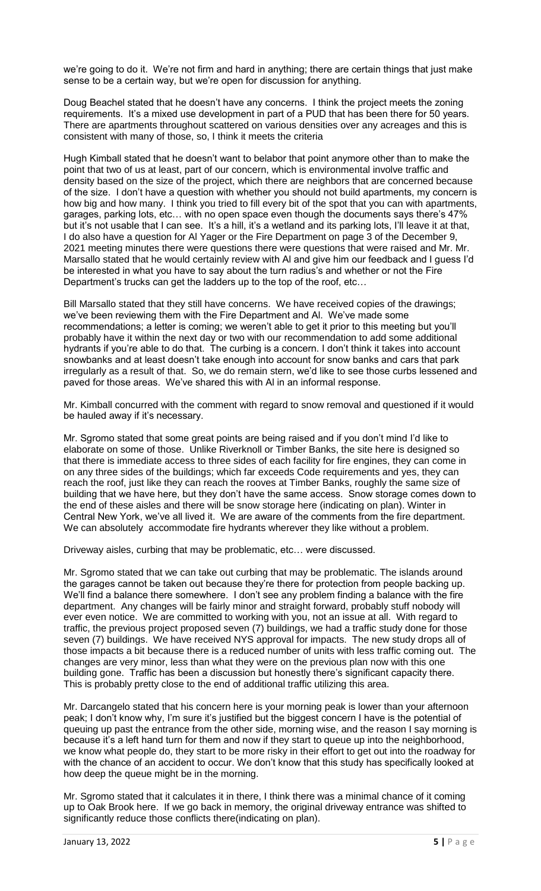we're going to do it. We're not firm and hard in anything; there are certain things that just make sense to be a certain way, but we're open for discussion for anything.

Doug Beachel stated that he doesn't have any concerns. I think the project meets the zoning requirements. It's a mixed use development in part of a PUD that has been there for 50 years. There are apartments throughout scattered on various densities over any acreages and this is consistent with many of those, so, I think it meets the criteria

Hugh Kimball stated that he doesn't want to belabor that point anymore other than to make the point that two of us at least, part of our concern, which is environmental involve traffic and density based on the size of the project, which there are neighbors that are concerned because of the size. I don't have a question with whether you should not build apartments, my concern is how big and how many. I think you tried to fill every bit of the spot that you can with apartments, garages, parking lots, etc… with no open space even though the documents says there's 47% but it's not usable that I can see. It's a hill, it's a wetland and its parking lots, I'll leave it at that, I do also have a question for Al Yager or the Fire Department on page 3 of the December 9, 2021 meeting minutes there were questions there were questions that were raised and Mr. Mr. Marsallo stated that he would certainly review with Al and give him our feedback and I guess I'd be interested in what you have to say about the turn radius's and whether or not the Fire Department's trucks can get the ladders up to the top of the roof, etc…

Bill Marsallo stated that they still have concerns. We have received copies of the drawings; we've been reviewing them with the Fire Department and Al. We've made some recommendations; a letter is coming; we weren't able to get it prior to this meeting but you'll probably have it within the next day or two with our recommendation to add some additional hydrants if you're able to do that. The curbing is a concern. I don't think it takes into account snowbanks and at least doesn't take enough into account for snow banks and cars that park irregularly as a result of that. So, we do remain stern, we'd like to see those curbs lessened and paved for those areas. We've shared this with Al in an informal response.

Mr. Kimball concurred with the comment with regard to snow removal and questioned if it would be hauled away if it's necessary.

Mr. Sgromo stated that some great points are being raised and if you don't mind I'd like to elaborate on some of those. Unlike Riverknoll or Timber Banks, the site here is designed so that there is immediate access to three sides of each facility for fire engines, they can come in on any three sides of the buildings; which far exceeds Code requirements and yes, they can reach the roof, just like they can reach the rooves at Timber Banks, roughly the same size of building that we have here, but they don't have the same access. Snow storage comes down to the end of these aisles and there will be snow storage here (indicating on plan). Winter in Central New York, we've all lived it. We are aware of the comments from the fire department. We can absolutely accommodate fire hydrants wherever they like without a problem.

Driveway aisles, curbing that may be problematic, etc… were discussed.

Mr. Sgromo stated that we can take out curbing that may be problematic. The islands around the garages cannot be taken out because they're there for protection from people backing up. We'll find a balance there somewhere. I don't see any problem finding a balance with the fire department. Any changes will be fairly minor and straight forward, probably stuff nobody will ever even notice. We are committed to working with you, not an issue at all. With regard to traffic, the previous project proposed seven (7) buildings, we had a traffic study done for those seven (7) buildings. We have received NYS approval for impacts. The new study drops all of those impacts a bit because there is a reduced number of units with less traffic coming out. The changes are very minor, less than what they were on the previous plan now with this one building gone. Traffic has been a discussion but honestly there's significant capacity there. This is probably pretty close to the end of additional traffic utilizing this area.

Mr. Darcangelo stated that his concern here is your morning peak is lower than your afternoon peak; I don't know why, I'm sure it's justified but the biggest concern I have is the potential of queuing up past the entrance from the other side, morning wise, and the reason I say morning is because it's a left hand turn for them and now if they start to queue up into the neighborhood, we know what people do, they start to be more risky in their effort to get out into the roadway for with the chance of an accident to occur. We don't know that this study has specifically looked at how deep the queue might be in the morning.

Mr. Sgromo stated that it calculates it in there, I think there was a minimal chance of it coming up to Oak Brook here. If we go back in memory, the original driveway entrance was shifted to significantly reduce those conflicts there(indicating on plan).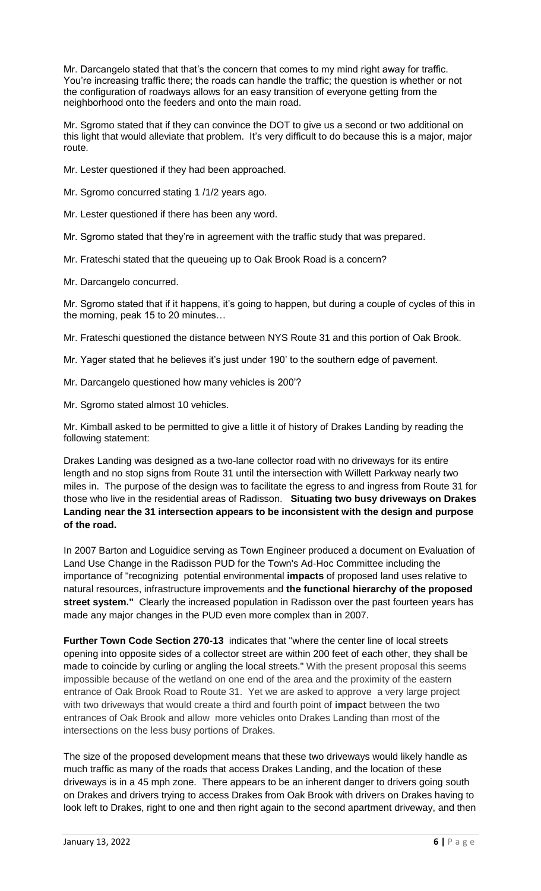Mr. Darcangelo stated that that's the concern that comes to my mind right away for traffic. You're increasing traffic there; the roads can handle the traffic; the question is whether or not the configuration of roadways allows for an easy transition of everyone getting from the neighborhood onto the feeders and onto the main road.

Mr. Saromo stated that if they can convince the DOT to give us a second or two additional on this light that would alleviate that problem. It's very difficult to do because this is a major, major route.

Mr. Lester questioned if they had been approached.

Mr. Sgromo concurred stating 1 /1/2 years ago.

Mr. Lester questioned if there has been any word.

Mr. Sgromo stated that they're in agreement with the traffic study that was prepared.

Mr. Frateschi stated that the queueing up to Oak Brook Road is a concern?

Mr. Darcangelo concurred.

Mr. Sgromo stated that if it happens, it's going to happen, but during a couple of cycles of this in the morning, peak 15 to 20 minutes…

Mr. Frateschi questioned the distance between NYS Route 31 and this portion of Oak Brook.

Mr. Yager stated that he believes it's just under 190' to the southern edge of pavement.

Mr. Darcangelo questioned how many vehicles is 200'?

Mr. Sgromo stated almost 10 vehicles.

Mr. Kimball asked to be permitted to give a little it of history of Drakes Landing by reading the following statement:

Drakes Landing was designed as a two-lane collector road with no driveways for its entire length and no stop signs from Route 31 until the intersection with Willett Parkway nearly two miles in. The purpose of the design was to facilitate the egress to and ingress from Route 31 for those who live in the residential areas of Radisson. **Situating two busy driveways on Drakes Landing near the 31 intersection appears to be inconsistent with the design and purpose of the road.**

In 2007 Barton and Loguidice serving as Town Engineer produced a document on Evaluation of Land Use Change in the Radisson PUD for the Town's Ad-Hoc Committee including the importance of "recognizing potential environmental **impacts** of proposed land uses relative to natural resources, infrastructure improvements and **the functional hierarchy of the proposed street system."** Clearly the increased population in Radisson over the past fourteen years has made any major changes in the PUD even more complex than in 2007.

**Further Town Code Section 270-13** indicates that "where the center line of local streets opening into opposite sides of a collector street are within 200 feet of each other, they shall be made to coincide by curling or angling the local streets." With the present proposal this seems impossible because of the wetland on one end of the area and the proximity of the eastern entrance of Oak Brook Road to Route 31. Yet we are asked to approve a very large project with two driveways that would create a third and fourth point of **impact** between the two entrances of Oak Brook and allow more vehicles onto Drakes Landing than most of the intersections on the less busy portions of Drakes.

The size of the proposed development means that these two driveways would likely handle as much traffic as many of the roads that access Drakes Landing, and the location of these driveways is in a 45 mph zone. There appears to be an inherent danger to drivers going south on Drakes and drivers trying to access Drakes from Oak Brook with drivers on Drakes having to look left to Drakes, right to one and then right again to the second apartment driveway, and then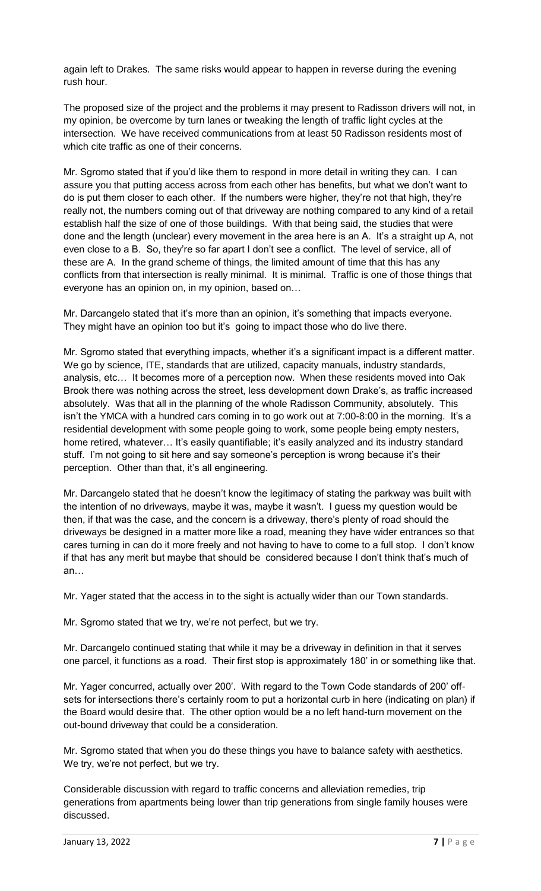again left to Drakes. The same risks would appear to happen in reverse during the evening rush hour.

The proposed size of the project and the problems it may present to Radisson drivers will not, in my opinion, be overcome by turn lanes or tweaking the length of traffic light cycles at the intersection. We have received communications from at least 50 Radisson residents most of which cite traffic as one of their concerns.

Mr. Sgromo stated that if you'd like them to respond in more detail in writing they can. I can assure you that putting access across from each other has benefits, but what we don't want to do is put them closer to each other. If the numbers were higher, they're not that high, they're really not, the numbers coming out of that driveway are nothing compared to any kind of a retail establish half the size of one of those buildings. With that being said, the studies that were done and the length (unclear) every movement in the area here is an A. It's a straight up A, not even close to a B. So, they're so far apart I don't see a conflict. The level of service, all of these are A. In the grand scheme of things, the limited amount of time that this has any conflicts from that intersection is really minimal. It is minimal. Traffic is one of those things that everyone has an opinion on, in my opinion, based on…

Mr. Darcangelo stated that it's more than an opinion, it's something that impacts everyone. They might have an opinion too but it's going to impact those who do live there.

Mr. Sgromo stated that everything impacts, whether it's a significant impact is a different matter. We go by science, ITE, standards that are utilized, capacity manuals, industry standards, analysis, etc… It becomes more of a perception now. When these residents moved into Oak Brook there was nothing across the street, less development down Drake's, as traffic increased absolutely. Was that all in the planning of the whole Radisson Community, absolutely. This isn't the YMCA with a hundred cars coming in to go work out at 7:00-8:00 in the morning. It's a residential development with some people going to work, some people being empty nesters, home retired, whatever... It's easily quantifiable; it's easily analyzed and its industry standard stuff. I'm not going to sit here and say someone's perception is wrong because it's their perception. Other than that, it's all engineering.

Mr. Darcangelo stated that he doesn't know the legitimacy of stating the parkway was built with the intention of no driveways, maybe it was, maybe it wasn't. I guess my question would be then, if that was the case, and the concern is a driveway, there's plenty of road should the driveways be designed in a matter more like a road, meaning they have wider entrances so that cares turning in can do it more freely and not having to have to come to a full stop. I don't know if that has any merit but maybe that should be considered because I don't think that's much of an…

Mr. Yager stated that the access in to the sight is actually wider than our Town standards.

Mr. Sgromo stated that we try, we're not perfect, but we try.

Mr. Darcangelo continued stating that while it may be a driveway in definition in that it serves one parcel, it functions as a road. Their first stop is approximately 180' in or something like that.

Mr. Yager concurred, actually over 200'. With regard to the Town Code standards of 200' offsets for intersections there's certainly room to put a horizontal curb in here (indicating on plan) if the Board would desire that. The other option would be a no left hand-turn movement on the out-bound driveway that could be a consideration.

Mr. Sgromo stated that when you do these things you have to balance safety with aesthetics. We try, we're not perfect, but we try.

Considerable discussion with regard to traffic concerns and alleviation remedies, trip generations from apartments being lower than trip generations from single family houses were discussed.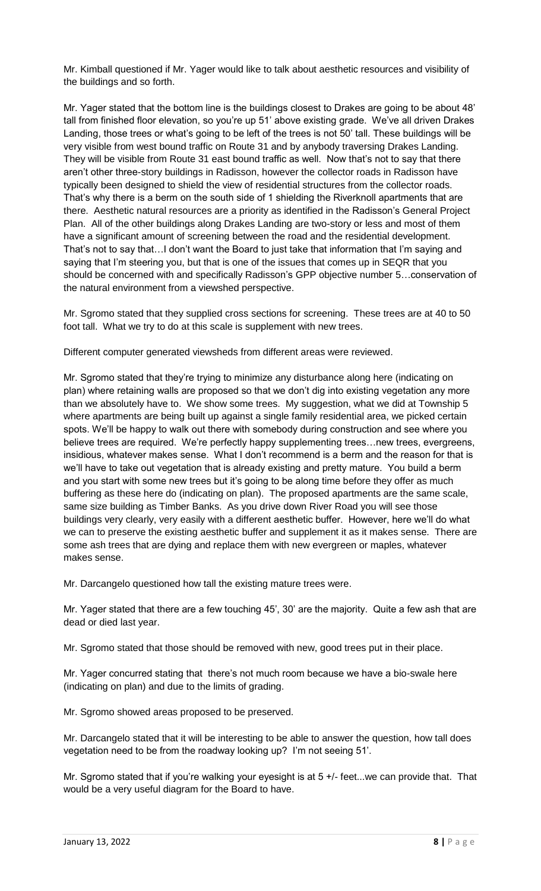Mr. Kimball questioned if Mr. Yager would like to talk about aesthetic resources and visibility of the buildings and so forth.

Mr. Yager stated that the bottom line is the buildings closest to Drakes are going to be about 48' tall from finished floor elevation, so you're up 51' above existing grade. We've all driven Drakes Landing, those trees or what's going to be left of the trees is not 50' tall. These buildings will be very visible from west bound traffic on Route 31 and by anybody traversing Drakes Landing. They will be visible from Route 31 east bound traffic as well. Now that's not to say that there aren't other three-story buildings in Radisson, however the collector roads in Radisson have typically been designed to shield the view of residential structures from the collector roads. That's why there is a berm on the south side of 1 shielding the Riverknoll apartments that are there. Aesthetic natural resources are a priority as identified in the Radisson's General Project Plan. All of the other buildings along Drakes Landing are two-story or less and most of them have a significant amount of screening between the road and the residential development. That's not to say that…I don't want the Board to just take that information that I'm saying and saying that I'm steering you, but that is one of the issues that comes up in SEQR that you should be concerned with and specifically Radisson's GPP objective number 5…conservation of the natural environment from a viewshed perspective.

Mr. Sgromo stated that they supplied cross sections for screening. These trees are at 40 to 50 foot tall. What we try to do at this scale is supplement with new trees.

Different computer generated viewsheds from different areas were reviewed.

Mr. Sgromo stated that they're trying to minimize any disturbance along here (indicating on plan) where retaining walls are proposed so that we don't dig into existing vegetation any more than we absolutely have to. We show some trees. My suggestion, what we did at Township 5 where apartments are being built up against a single family residential area, we picked certain spots. We'll be happy to walk out there with somebody during construction and see where you believe trees are required. We're perfectly happy supplementing trees…new trees, evergreens, insidious, whatever makes sense. What I don't recommend is a berm and the reason for that is we'll have to take out vegetation that is already existing and pretty mature. You build a berm and you start with some new trees but it's going to be along time before they offer as much buffering as these here do (indicating on plan). The proposed apartments are the same scale, same size building as Timber Banks. As you drive down River Road you will see those buildings very clearly, very easily with a different aesthetic buffer. However, here we'll do what we can to preserve the existing aesthetic buffer and supplement it as it makes sense. There are some ash trees that are dying and replace them with new evergreen or maples, whatever makes sense.

Mr. Darcangelo questioned how tall the existing mature trees were.

Mr. Yager stated that there are a few touching 45', 30' are the majority. Quite a few ash that are dead or died last year.

Mr. Sgromo stated that those should be removed with new, good trees put in their place.

Mr. Yager concurred stating that there's not much room because we have a bio-swale here (indicating on plan) and due to the limits of grading.

Mr. Sgromo showed areas proposed to be preserved.

Mr. Darcangelo stated that it will be interesting to be able to answer the question, how tall does vegetation need to be from the roadway looking up? I'm not seeing 51'.

Mr. Sgromo stated that if you're walking your eyesight is at 5 +/- feet...we can provide that. That would be a very useful diagram for the Board to have.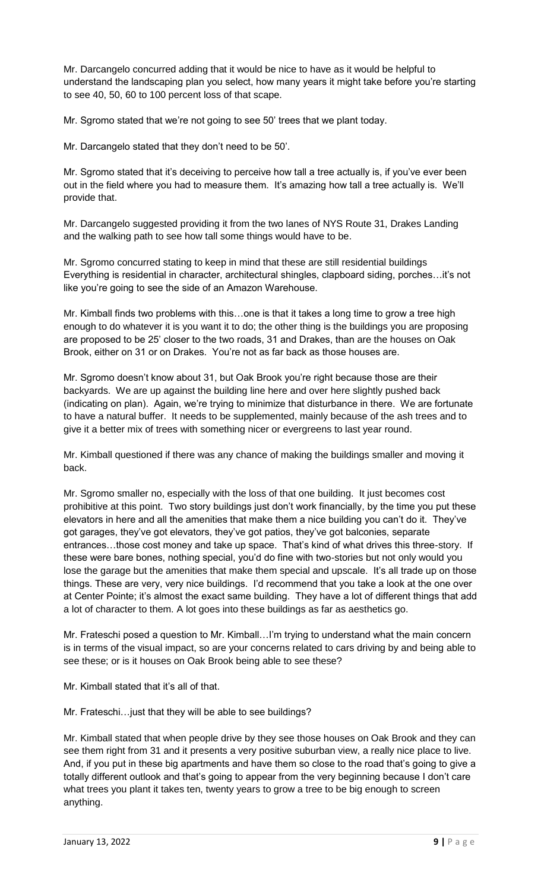Mr. Darcangelo concurred adding that it would be nice to have as it would be helpful to understand the landscaping plan you select, how many years it might take before you're starting to see 40, 50, 60 to 100 percent loss of that scape.

Mr. Sgromo stated that we're not going to see 50' trees that we plant today.

Mr. Darcangelo stated that they don't need to be 50'.

Mr. Sgromo stated that it's deceiving to perceive how tall a tree actually is, if you've ever been out in the field where you had to measure them. It's amazing how tall a tree actually is. We'll provide that.

Mr. Darcangelo suggested providing it from the two lanes of NYS Route 31, Drakes Landing and the walking path to see how tall some things would have to be.

Mr. Sgromo concurred stating to keep in mind that these are still residential buildings Everything is residential in character, architectural shingles, clapboard siding, porches…it's not like you're going to see the side of an Amazon Warehouse.

Mr. Kimball finds two problems with this…one is that it takes a long time to grow a tree high enough to do whatever it is you want it to do; the other thing is the buildings you are proposing are proposed to be 25' closer to the two roads, 31 and Drakes, than are the houses on Oak Brook, either on 31 or on Drakes. You're not as far back as those houses are.

Mr. Sgromo doesn't know about 31, but Oak Brook you're right because those are their backyards. We are up against the building line here and over here slightly pushed back (indicating on plan). Again, we're trying to minimize that disturbance in there. We are fortunate to have a natural buffer. It needs to be supplemented, mainly because of the ash trees and to give it a better mix of trees with something nicer or evergreens to last year round.

Mr. Kimball questioned if there was any chance of making the buildings smaller and moving it back.

Mr. Sgromo smaller no, especially with the loss of that one building. It just becomes cost prohibitive at this point. Two story buildings just don't work financially, by the time you put these elevators in here and all the amenities that make them a nice building you can't do it. They've got garages, they've got elevators, they've got patios, they've got balconies, separate entrances…those cost money and take up space. That's kind of what drives this three-story. If these were bare bones, nothing special, you'd do fine with two-stories but not only would you lose the garage but the amenities that make them special and upscale. It's all trade up on those things. These are very, very nice buildings. I'd recommend that you take a look at the one over at Center Pointe; it's almost the exact same building. They have a lot of different things that add a lot of character to them. A lot goes into these buildings as far as aesthetics go.

Mr. Frateschi posed a question to Mr. Kimball…I'm trying to understand what the main concern is in terms of the visual impact, so are your concerns related to cars driving by and being able to see these; or is it houses on Oak Brook being able to see these?

Mr. Kimball stated that it's all of that.

Mr. Frateschi…just that they will be able to see buildings?

Mr. Kimball stated that when people drive by they see those houses on Oak Brook and they can see them right from 31 and it presents a very positive suburban view, a really nice place to live. And, if you put in these big apartments and have them so close to the road that's going to give a totally different outlook and that's going to appear from the very beginning because I don't care what trees you plant it takes ten, twenty years to grow a tree to be big enough to screen anything.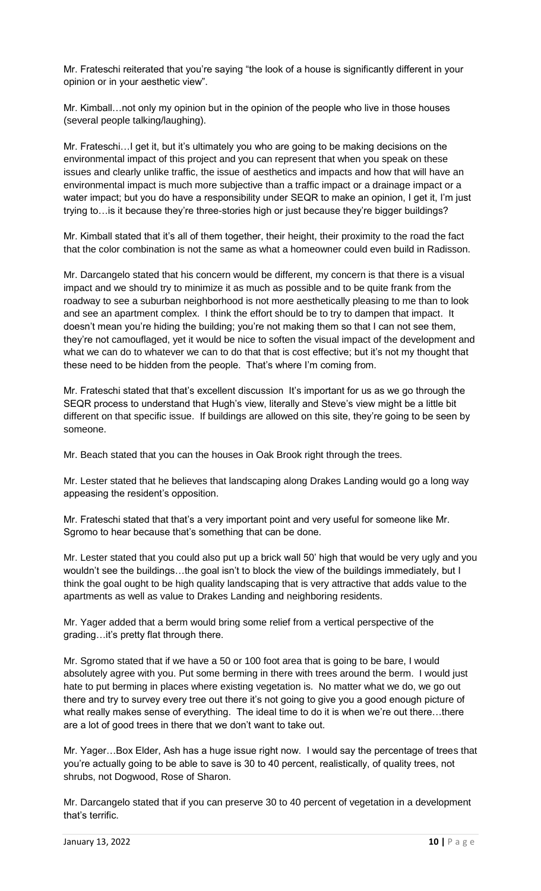Mr. Frateschi reiterated that you're saying "the look of a house is significantly different in your opinion or in your aesthetic view".

Mr. Kimball…not only my opinion but in the opinion of the people who live in those houses (several people talking/laughing).

Mr. Frateschi…I get it, but it's ultimately you who are going to be making decisions on the environmental impact of this project and you can represent that when you speak on these issues and clearly unlike traffic, the issue of aesthetics and impacts and how that will have an environmental impact is much more subjective than a traffic impact or a drainage impact or a water impact; but you do have a responsibility under SEQR to make an opinion, I get it, I'm just trying to…is it because they're three-stories high or just because they're bigger buildings?

Mr. Kimball stated that it's all of them together, their height, their proximity to the road the fact that the color combination is not the same as what a homeowner could even build in Radisson.

Mr. Darcangelo stated that his concern would be different, my concern is that there is a visual impact and we should try to minimize it as much as possible and to be quite frank from the roadway to see a suburban neighborhood is not more aesthetically pleasing to me than to look and see an apartment complex. I think the effort should be to try to dampen that impact. It doesn't mean you're hiding the building; you're not making them so that I can not see them, they're not camouflaged, yet it would be nice to soften the visual impact of the development and what we can do to whatever we can to do that that is cost effective; but it's not my thought that these need to be hidden from the people. That's where I'm coming from.

Mr. Frateschi stated that that's excellent discussion It's important for us as we go through the SEQR process to understand that Hugh's view, literally and Steve's view might be a little bit different on that specific issue. If buildings are allowed on this site, they're going to be seen by someone.

Mr. Beach stated that you can the houses in Oak Brook right through the trees.

Mr. Lester stated that he believes that landscaping along Drakes Landing would go a long way appeasing the resident's opposition.

Mr. Frateschi stated that that's a very important point and very useful for someone like Mr. Sgromo to hear because that's something that can be done.

Mr. Lester stated that you could also put up a brick wall 50' high that would be very ugly and you wouldn't see the buildings…the goal isn't to block the view of the buildings immediately, but I think the goal ought to be high quality landscaping that is very attractive that adds value to the apartments as well as value to Drakes Landing and neighboring residents.

Mr. Yager added that a berm would bring some relief from a vertical perspective of the grading…it's pretty flat through there.

Mr. Sgromo stated that if we have a 50 or 100 foot area that is going to be bare, I would absolutely agree with you. Put some berming in there with trees around the berm. I would just hate to put berming in places where existing vegetation is. No matter what we do, we go out there and try to survey every tree out there it's not going to give you a good enough picture of what really makes sense of everything. The ideal time to do it is when we're out there…there are a lot of good trees in there that we don't want to take out.

Mr. Yager…Box Elder, Ash has a huge issue right now. I would say the percentage of trees that you're actually going to be able to save is 30 to 40 percent, realistically, of quality trees, not shrubs, not Dogwood, Rose of Sharon.

Mr. Darcangelo stated that if you can preserve 30 to 40 percent of vegetation in a development that's terrific.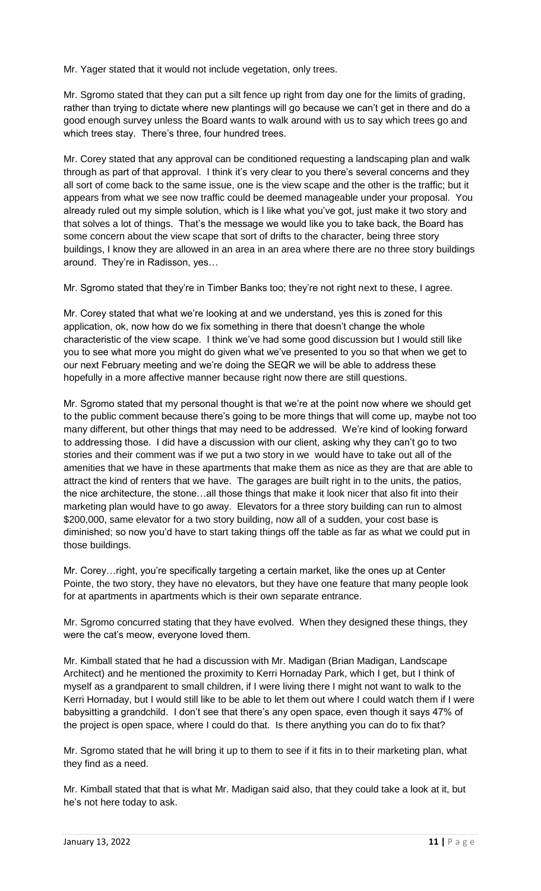Mr. Yager stated that it would not include vegetation, only trees.

Mr. Sgromo stated that they can put a silt fence up right from day one for the limits of grading, rather than trying to dictate where new plantings will go because we can't get in there and do a good enough survey unless the Board wants to walk around with us to say which trees go and which trees stay. There's three, four hundred trees.

Mr. Corey stated that any approval can be conditioned requesting a landscaping plan and walk through as part of that approval. I think it's very clear to you there's several concerns and they all sort of come back to the same issue, one is the view scape and the other is the traffic; but it appears from what we see now traffic could be deemed manageable under your proposal. You already ruled out my simple solution, which is I like what you've got, just make it two story and that solves a lot of things. That's the message we would like you to take back, the Board has some concern about the view scape that sort of drifts to the character, being three story buildings, I know they are allowed in an area in an area where there are no three story buildings around. They're in Radisson, yes…

Mr. Sgromo stated that they're in Timber Banks too; they're not right next to these, I agree.

Mr. Corey stated that what we're looking at and we understand, yes this is zoned for this application, ok, now how do we fix something in there that doesn't change the whole characteristic of the view scape. I think we've had some good discussion but I would still like you to see what more you might do given what we've presented to you so that when we get to our next February meeting and we're doing the SEQR we will be able to address these hopefully in a more affective manner because right now there are still questions.

Mr. Sgromo stated that my personal thought is that we're at the point now where we should get to the public comment because there's going to be more things that will come up, maybe not too many different, but other things that may need to be addressed. We're kind of looking forward to addressing those. I did have a discussion with our client, asking why they can't go to two stories and their comment was if we put a two story in we would have to take out all of the amenities that we have in these apartments that make them as nice as they are that are able to attract the kind of renters that we have. The garages are built right in to the units, the patios, the nice architecture, the stone…all those things that make it look nicer that also fit into their marketing plan would have to go away. Elevators for a three story building can run to almost \$200,000, same elevator for a two story building, now all of a sudden, your cost base is diminished; so now you'd have to start taking things off the table as far as what we could put in those buildings.

Mr. Corey…right, you're specifically targeting a certain market, like the ones up at Center Pointe, the two story, they have no elevators, but they have one feature that many people look for at apartments in apartments which is their own separate entrance.

Mr. Sgromo concurred stating that they have evolved. When they designed these things, they were the cat's meow, everyone loved them.

Mr. Kimball stated that he had a discussion with Mr. Madigan (Brian Madigan, Landscape Architect) and he mentioned the proximity to Kerri Hornaday Park, which I get, but I think of myself as a grandparent to small children, if I were living there I might not want to walk to the Kerri Hornaday, but I would still like to be able to let them out where I could watch them if I were babysitting a grandchild. I don't see that there's any open space, even though it says 47% of the project is open space, where I could do that. Is there anything you can do to fix that?

Mr. Sgromo stated that he will bring it up to them to see if it fits in to their marketing plan, what they find as a need.

Mr. Kimball stated that that is what Mr. Madigan said also, that they could take a look at it, but he's not here today to ask.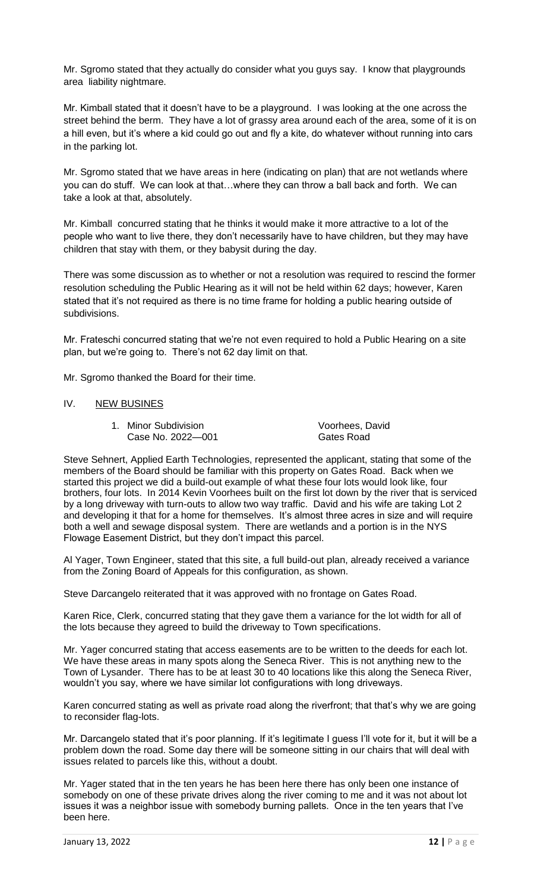Mr. Sgromo stated that they actually do consider what you guys say. I know that playgrounds area liability nightmare.

Mr. Kimball stated that it doesn't have to be a playground. I was looking at the one across the street behind the berm. They have a lot of grassy area around each of the area, some of it is on a hill even, but it's where a kid could go out and fly a kite, do whatever without running into cars in the parking lot.

Mr. Sgromo stated that we have areas in here (indicating on plan) that are not wetlands where you can do stuff. We can look at that…where they can throw a ball back and forth. We can take a look at that, absolutely.

Mr. Kimball concurred stating that he thinks it would make it more attractive to a lot of the people who want to live there, they don't necessarily have to have children, but they may have children that stay with them, or they babysit during the day.

There was some discussion as to whether or not a resolution was required to rescind the former resolution scheduling the Public Hearing as it will not be held within 62 days; however, Karen stated that it's not required as there is no time frame for holding a public hearing outside of subdivisions.

Mr. Frateschi concurred stating that we're not even required to hold a Public Hearing on a site plan, but we're going to. There's not 62 day limit on that.

Mr. Sgromo thanked the Board for their time.

# IV. NEW BUSINES

1. Minor Subdivision Voorhees, David Case No. 2022—001 Gates Road

Steve Sehnert, Applied Earth Technologies, represented the applicant, stating that some of the members of the Board should be familiar with this property on Gates Road. Back when we started this project we did a build-out example of what these four lots would look like, four brothers, four lots. In 2014 Kevin Voorhees built on the first lot down by the river that is serviced by a long driveway with turn-outs to allow two way traffic. David and his wife are taking Lot 2 and developing it that for a home for themselves. It's almost three acres in size and will require both a well and sewage disposal system. There are wetlands and a portion is in the NYS Flowage Easement District, but they don't impact this parcel.

Al Yager, Town Engineer, stated that this site, a full build-out plan, already received a variance from the Zoning Board of Appeals for this configuration, as shown.

Steve Darcangelo reiterated that it was approved with no frontage on Gates Road.

Karen Rice, Clerk, concurred stating that they gave them a variance for the lot width for all of the lots because they agreed to build the driveway to Town specifications.

Mr. Yager concurred stating that access easements are to be written to the deeds for each lot. We have these areas in many spots along the Seneca River. This is not anything new to the Town of Lysander. There has to be at least 30 to 40 locations like this along the Seneca River, wouldn't you say, where we have similar lot configurations with long driveways.

Karen concurred stating as well as private road along the riverfront; that that's why we are going to reconsider flag-lots.

Mr. Darcangelo stated that it's poor planning. If it's legitimate I guess I'll vote for it, but it will be a problem down the road. Some day there will be someone sitting in our chairs that will deal with issues related to parcels like this, without a doubt.

Mr. Yager stated that in the ten years he has been here there has only been one instance of somebody on one of these private drives along the river coming to me and it was not about lot issues it was a neighbor issue with somebody burning pallets. Once in the ten years that I've been here.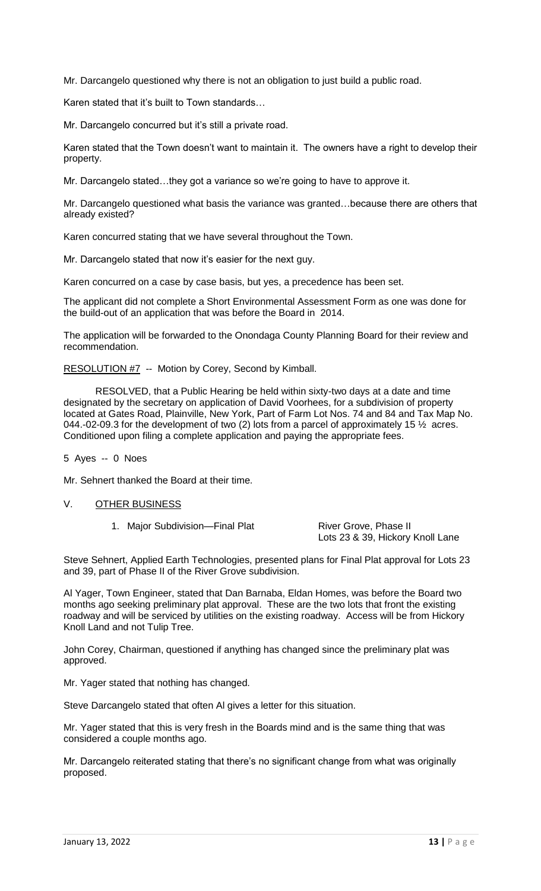Mr. Darcangelo questioned why there is not an obligation to just build a public road.

Karen stated that it's built to Town standards…

Mr. Darcangelo concurred but it's still a private road.

Karen stated that the Town doesn't want to maintain it. The owners have a right to develop their property.

Mr. Darcangelo stated…they got a variance so we're going to have to approve it.

Mr. Darcangelo questioned what basis the variance was granted…because there are others that already existed?

Karen concurred stating that we have several throughout the Town.

Mr. Darcangelo stated that now it's easier for the next guy.

Karen concurred on a case by case basis, but yes, a precedence has been set.

The applicant did not complete a Short Environmental Assessment Form as one was done for the build-out of an application that was before the Board in 2014.

The application will be forwarded to the Onondaga County Planning Board for their review and recommendation.

## RESOLUTION #7 -- Motion by Corey, Second by Kimball.

RESOLVED, that a Public Hearing be held within sixty-two days at a date and time designated by the secretary on application of David Voorhees, for a subdivision of property located at Gates Road, Plainville, New York, Part of Farm Lot Nos. 74 and 84 and Tax Map No. 044.-02-09.3 for the development of two (2) lots from a parcel of approximately 15  $\frac{1}{2}$  acres. Conditioned upon filing a complete application and paying the appropriate fees.

5 Ayes -- 0 Noes

Mr. Sehnert thanked the Board at their time.

## V. OTHER BUSINESS

1. Major Subdivision—Final Plat River Grove, Phase II

Lots 23 & 39, Hickory Knoll Lane

Steve Sehnert, Applied Earth Technologies, presented plans for Final Plat approval for Lots 23 and 39, part of Phase II of the River Grove subdivision.

Al Yager, Town Engineer, stated that Dan Barnaba, Eldan Homes, was before the Board two months ago seeking preliminary plat approval. These are the two lots that front the existing roadway and will be serviced by utilities on the existing roadway. Access will be from Hickory Knoll Land and not Tulip Tree.

John Corey, Chairman, questioned if anything has changed since the preliminary plat was approved.

Mr. Yager stated that nothing has changed.

Steve Darcangelo stated that often Al gives a letter for this situation.

Mr. Yager stated that this is very fresh in the Boards mind and is the same thing that was considered a couple months ago.

Mr. Darcangelo reiterated stating that there's no significant change from what was originally proposed.